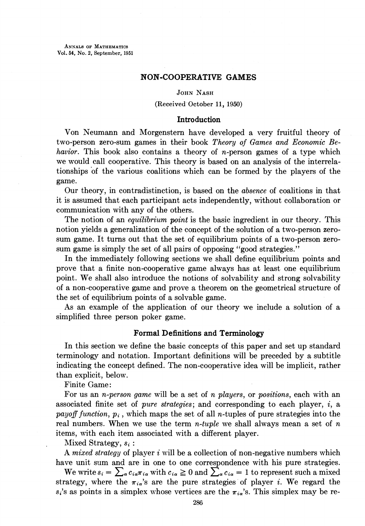ANNALS OF MATHEMATICS Vol. 54, No. 2, September, 1951

#### NON-COOPERATIVE GAMES

### JOHN NASH

#### (Received October 11, 1950)

### Introduction

Von Neumann and Morgenstern have developed a very fruitful theory of two-person zero-sum games in their book Theory of Games and Economic Behavior. This book also contains a theory of  $n$ -person games of a type which we would call cooperative. This theory is based on an analysis of the interrelationships of the various coalitions which can be formed by the players of the game.

Our theory, in contradistinction, is based on the absence of coalitions in that it is assumed that each participant acts independently, without collaboration or communication with any of the others.

The notion of an *equilibrium point* is the basic ingredient in our theory. This notion yields a generalization of the concept of the solution of a two-person zerosum game. It turns out that the set of equilibrium points of a two-person zerosum game is simply the set of all pairs of opposing "good strategies."

In the immediately following sections we shall define equilibrium points and prove that a finite non-cooperative game always has at least one equilibrium point. We shall also introduce the notions of solvability and strong solvability of a non-cooperative game and prove a theorem on the geometrical structure of the set of equilibrium points of a solvable game.

As an example of the application of our theory we include a solution of a simplified three person poker game.

### Formal Definitions and Terminology

In this section we define the basic concepts of this paper and set up standard terminology and notation. Important definitions will be preceded by a subtitle indicating the concept defined. The non-cooperative idea will be implicit, rather than explicit, below.

Finite Game:

For us an *n-person game* will be a set of *n players*, or *positions*, each with an associated finite set of *pure strategies*; and corresponding to each player,  $i$ , a payoff function,  $p_i$ , which maps the set of all *n*-tuples of pure strategies into the real numbers. When we use the term  $n$ -tuple we shall always mean a set of  $n$ items, with each item associated with a different player.

Mixed Strategy,  $s_i$ :

A mixed strategy of player  $i$  will be a collection of non-negative numbers which have unit sum and are in one to one correspondence with his pure strategies.

We write  $s_i = \sum_{\alpha} c_{i\alpha} \pi_{i\alpha}$  with  $c_{i\alpha} \ge 0$  and  $\sum_{\alpha} c_{i\alpha} = 1$  to represent such a mixed strategy, where the  $\pi_{ia}$ 's are the pure strategies of player *i*. We regard the  $s_i$ 's as points in a simplex whose vertices are the  $\pi_{i\alpha}$ 's. This simplex may be re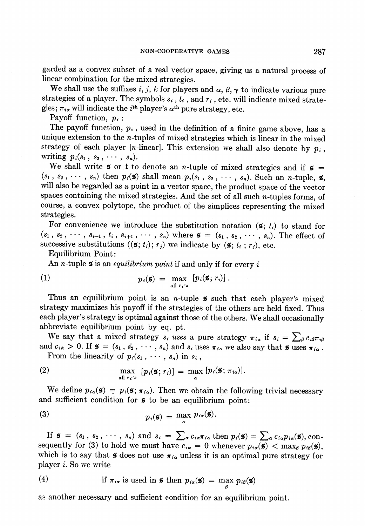garded as a convex subset of a real vector space, giving us a natural process of linear combination for the mixed strategies.

We shall use the suffixes i, j, k for players and  $\alpha$ ,  $\beta$ ,  $\gamma$  to indicate various pure strategies of a player. The symbols  $s_i$ ,  $t_i$ , and  $r_i$ , etc. will indicate mixed strategies;  $\pi_{i\alpha}$  will indicate the  $i^{\text{th}}$  player's  $\alpha^{\text{th}}$  pure strategy, etc.

Payoff function,  $p_i$ :

The payoff function,  $p_i$ , used in the definition of a finite game above, has a unique extension to the *n*-tuples of mixed strategies which is linear in the mixed strategy of each player [n-linear]. This extension we shall also denote by  $p_i$ , writing  $p_i(s_1, s_2, \cdots, s_n)$ .

We shall write **s** or **t** to denote an *n*-tuple of mixed strategies and if  $\mathbf{s} =$  $(s_1, s_2, \dots, s_n)$  then  $p_i(\mathbf{s})$  shall mean  $p_i(s_1, s_2, \dots, s_n)$ . Such an *n*-tuple, **s**, will also be regarded as a point in a vector space, the product space of the vector spaces containing the mixed strategies. And the set of all such  $n$ -tuples forms, of course, a convex polytope, the product of the simplices representing the mixed strategies.

For convenience we introduce the substitution notation  $(\mathfrak{s}; t_i)$  to stand for  $(s_1, s_2, \cdots, s_{i-1}, t_i, s_{i+1}, \cdots, s_n)$  where  $\mathbf{S} = (s_1, s_2, \cdots, s_n)$ . The effect of successive substitutions  $((\mathbf{s}; t_i); r_j)$  we indicate by  $(\mathbf{s}; t_i; r_j)$ , etc.

Equilibrium Point:

An *n*-tuple  $\boldsymbol{s}$  is an *equilibrium point* if and only if for every  $i$ 

(1) 
$$
p_i(\mathbf{s}) = \max_{\text{all } r_i's} [p_i(\mathbf{s}; r_i)].
$$

Thus an equilibrium point is an *n*-tuple  $\boldsymbol{\mathfrak{s}}$  such that each player's mixed strategy maximizes his payoff if the strategies of the others are held fixed. Thus each player's strategy is optimal against those of the others. We shall occasionally abbreviate equilibrium point by eq. pt.

We say that a mixed strategy  $s_i$  uses a pure strategy  $\pi_{i\alpha}$  if  $s_i = \sum_{\beta} c_{i\beta} \pi_{i\beta}$ and  $c_{i\alpha} > 0$ . If  $\mathbf{s} = (s_1, s_2, \cdots, s_n)$  and  $s_i$  uses  $\pi_{i\alpha}$  we also say that  $\mathbf{s}$  uses  $\pi_{i\alpha}$ .

From the linearity of  $p_i(s_1,\cdots,s_n)$  in  $s_i$ ,

(2) 
$$
\max_{\text{all } r_i's} [p_i(\mathbf{s}; r_i)] = \max_{\alpha} [p_i(\mathbf{s}; \pi_{i\alpha})].
$$

We define  $p_{i\alpha}(\mathbf{s}) = p_i(\mathbf{s}; \pi_{i\alpha})$ . Then we obtain the following trivial necessary and sufficient condition for **s** to be an equilibrium point:

(3) 
$$
p_i(\mathbf{s}) = \max_{\alpha} p_{i\alpha}(\mathbf{s}).
$$

If  $\mathbf{s} = (s_1, s_2, \cdots, s_n)$  and  $s_i = \sum_{\alpha} c_{i\alpha} \pi_{i\alpha}$  then  $p_i(\mathbf{s}) = \sum_{\alpha} c_{i\alpha} p_{i\alpha}(\mathbf{s})$ , consequently for (3) to hold we must have  $c_{i\alpha} = 0$  whenever  $p_{i\alpha}(\mathbf{s}) < \max_{\beta} p_{i\beta}(\mathbf{s}),$ which is to say that **s** does not use  $\pi_{i\alpha}$  unless it is an optimal pure strategy for player  $i$ . So we write

(4) if 
$$
\pi_{i\alpha}
$$
 is used in **5** then  $p_{i\alpha}(\mathbf{s}) = \max p_{i\beta}(\mathbf{s})$ 

as another necessary and sufficient condition for an equilibrium point.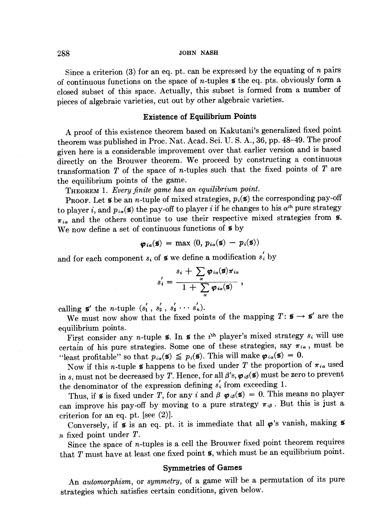Since a criterion (3) for an eq. pt. can be expressed by the equating of  $n$  pairs of continuous functions on the space of *n*-tuples  $\boldsymbol{s}$  the eq. pts. obviously form a closed subset of this space. Actually, this subset is formed from a number of pieces of algebraic varieties, cut out by other algebraic varieties.

### Existence of Equilibrium Points

A proof of this existence theorem based on Kakutani's generalized fixed point theorem was published in Proc. Nat. Acad. Sci. U.S. A., 36, pp. 48-49. The proof given here is a considerable improvement over that earlier version and is based directly on the Brouwer theorem. We proceed by constructing a continuous transformation  $T$  of the space of *n*-tuples such that the fixed points of  $T$  are the equilibrium points of the game.

THEOREM 1. Every finite game has an equilibrium point.

**PROOF.** Let  $\boldsymbol{\mathfrak{s}}$  be an *n*-tuple of mixed strategies,  $p_i(\boldsymbol{\mathfrak{s}})$  the corresponding pay-off to player i, and  $p_{i\alpha}(\mathbf{s})$  the pay-off to player i if he changes to his  $\alpha^{th}$  pure strategy  $\pi_{i\alpha}$  and the others continue to use their respective mixed strategies from  $\tilde{\mathbf{s}}$ . We now define a set of continuous functions of  $\boldsymbol{s}$  by

$$
\boldsymbol{\varphi}_{i\alpha}(\mathbf{s}) = \max(0, p_{i\alpha}(\mathbf{s}) - p_i(\mathbf{s}))
$$

and for each component  $s_i$  of  $\boldsymbol{\tilde{s}}$  we define a modification  $s'_i$  by

$$
s'_{i} = \frac{s_{i} + \sum_{\alpha} \varphi_{i\alpha}(\mathbf{s}) \pi_{i\alpha}}{1 + \sum_{\alpha} \varphi_{i\alpha}(\mathbf{s})},
$$

calling  $\mathbf{s}'$  the *n*-tuple  $(s'_1, s'_2, s'_3 \cdots s'_n)$ .

We must now show that the fixed points of the mapping  $T: \mathbf{s} \to \mathbf{s}'$  are the equilibrium points.

First consider any *n*-tuple  $\boldsymbol{\mathsf{s}}$ . In  $\boldsymbol{\mathsf{s}}$  the *i*<sup>th</sup> player's mixed strategy  $s_i$  will use certain of his pure strategies. Some one of these strategies, say  $\pi_{i\alpha}$ , must be "least profitable" so that  $p_{i\alpha}(\mathbf{s}) \leq p_i(\mathbf{s})$ . This will make  $\boldsymbol{\varphi}_{i\alpha}(\mathbf{s}) = 0$ .

Now if this *n*-tuple  $\sharp$  happens to be fixed under T the proportion of  $\pi_{i\alpha}$  used in  $s_i$  must not be decreased by T. Hence, for all  $\beta$ 's,  $\varphi_{i\beta}(\mathbf{s})$  must be zero to prevent the denominator of the expression defining  $s'_{i}$  from exceeding 1.

Thus, if  $\boldsymbol{\mathfrak{s}}$  is fixed under T, for any i and  $\boldsymbol{\beta}$   $\boldsymbol{\varphi}_{i\boldsymbol{\beta}}(\boldsymbol{\mathfrak{s}}) = 0$ . This means no player can improve his pay-off by moving to a pure strategy  $\pi_{i\beta}$ . But this is just a criterion for an eq. pt. [see (2)].

Conversely, if  $\boldsymbol{s}$  is an eq. pt. it is immediate that all  $\boldsymbol{\varphi}$ 's vanish, making  $\boldsymbol{s}$ a fixed point under  $T$ .

Since the space of  $n$ -tuples is a cell the Brouwer fixed point theorem requires that  $T$  must have at least one fixed point  $\boldsymbol{\mathsf{s}}$ , which must be an equilibrium point.

#### Symmetries of Games

An *automorphism*, or *symmetry*, of a game will be a permutation of its pure strategies which satisfies certain conditions, given below.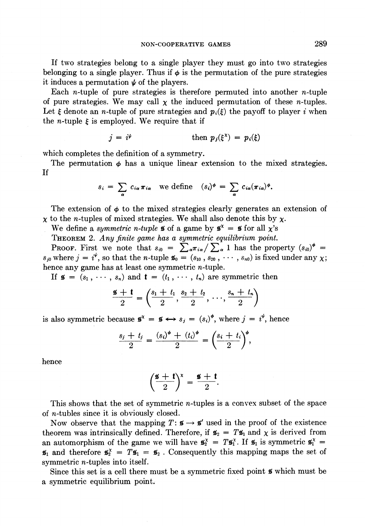If two strategies belong to a single player they must go into two strategies belonging to a single player. Thus if  $\phi$  is the permutation of the pure strategies it induces a permutation  $\psi$  of the players.

Each *n*-tuple of pure strategies is therefore permuted into another *n*-tuple of pure strategies. We may call  $\chi$  the induced permutation of these *n*-tuples. Let  $\xi$  denote an *n*-tuple of pure strategies and  $p_i(\xi)$  the payoff to player i when the *n*-tuple  $\xi$  is employed. We require that if

$$
j = i^{\psi} \qquad \qquad \text{then } p_j(\xi^{\chi}) = p_i(\xi)
$$

which completes the definition of a symmetry.

The permutation  $\phi$  has a unique linear extension to the mixed strategies. If

$$
s_i = \sum_{\alpha} c_{i\alpha} \pi_{i\alpha} \text{ we define } (s_i)^{\phi} = \sum_{\alpha} c_{i\alpha} (\pi_{i\alpha})^{\phi}.
$$

The extension of  $\phi$  to the mixed strategies clearly generates an extension of  $\chi$  to the *n*-tuples of mixed strategies. We shall also denote this by  $\chi$ .

We define a symmetric n-tuple **s** of a game by  $\mathbf{s}^x = \mathbf{s}$  for all  $\chi$ 's

THEOREM 2. Any finite game has a symmetric equilibrium point.

**Proof.** First we note that  $s_{i0} = \sum_{\alpha} \pi_{i\alpha} / \sum_{\alpha} 1$  has the property  $(s_{i0})^{\phi}$  =  $s_{i0}$  where  $i = i^{\psi}$ , so that the *n*-tuple  $\mathbf{g}_0 = (s_{10}, s_{20}, \cdots, s_{n0})$  is fixed under any  $\chi$ ; hence any game has at least one symmetric n-tuple.  $s_{i0} =$ <br>tuple  $\mathbf{s}_0$ <br>e symm<br>=  $(t_1,$ <br> $s_1 + t_1$ 

If  $\mathbf{s} = (s_1, \dots, s_n)$  and  $\mathbf{t} = (t_1, \dots, t_n)$  are symmetric then

$$
\frac{\mathbf{s} + \mathbf{t}}{2} = \left(\frac{s_1 + t_1}{2}, \frac{s_2 + t_2}{2}, \dots, \frac{s_n + t_n}{2}\right)
$$

is also symmetric because  $\mathbf{s}^x = \mathbf{s} \leftrightarrow s_j = (s_i)^{\phi}$ , where  $j = i^{\psi}$ , hence

$$
\frac{s_j + t_j}{2} = \frac{(s_i)^{\phi} + (t_i)^{\phi}}{2} = \left(\frac{s_i + t_i}{2}\right)^{\phi},
$$

hence

$$
\left(\frac{\mathbf{s}+\mathbf{t}}{2}\right)^{\mathbf{x}}=\frac{\mathbf{s}+\mathbf{t}}{2}.
$$

This shows that the set of symmetric  $n$ -tuples is a convex subset of the space of n-tubles since it is obviously closed.

Now observe that the mapping  $T: \mathbf{s} \to \mathbf{s}'$  used in the proof of the existence theorem was intrinsically defined. Therefore, if  $\mathbf{s}_2 = T \mathbf{s}_1$  and  $\chi$  is derived from an automorphism of the game we will have  $\mathbf{s}_2^{\times} = T \mathbf{s}_1^{\times}$ . If  $\mathbf{s}_1$  is symmetric  $\mathbf{s}_1^{\times} =$  $\mathfrak{s}_1$  and therefore  $\mathfrak{s}_2^x = T \mathfrak{s}_1 = \mathfrak{s}_2$ . Consequently this mapping maps the set of symmetric n-tuples into itself.

Since this set is a cell there must be a symmetric fixed point  $\boldsymbol{s}$  which must be a symmetric equilibrium point.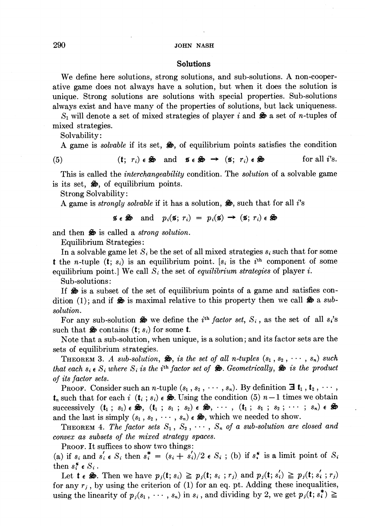## Solutions

We define here solutions, strong solutions, and sub-solutions. A non-cooperative game does not always have a solution, but when it does the solution is unique. Strong solutions are solutions with special properties. Sub-solutions always exist and have many of the properties of solutions, but lack uniqueness:

 $S_1$  will denote a set of mixed strategies of player i and  $\mathcal{L}$  a set of n-tuples of mixed strategies.

Solvability:

A game is *solvable* if its set,  $\clubsuit$ , of equilibrium points satisfies the condition

(5) (t;  $r_i$ )  $\epsilon \gg$  and  $\epsilon \gg \rightarrow (\epsilon; r_i) \epsilon \gg$  for all *i*'s.

This is called the *interchangeability* condition. The *solution* of a solvable game is its set,  $\clubsuit$ , of equilibrium points.

Strong Solvability:

A game is *strongly solvable* if it has a solution,  $\hat{\mathbf{z}}$ , such that for all *i*'s

$$
\mathfrak{s} \in \mathfrak{S}
$$
 and  $p_i(\mathfrak{s}; r_i) = p_i(\mathfrak{s}) \rightarrow (\mathfrak{s}; r_i) \in \mathfrak{S}$ 

and then  $\clubsuit$  is called a *strong solution*.

Equilibrium Strategies:

In a solvable game let  $S_i$  be the set of all mixed strategies  $s_i$  such that for some **t** the n-tuple  $(t; s_i)$  is an equilibrium point. [ $s_i$  is the  $i<sup>th</sup>$  component of some equilibrium point.] We call  $S_i$  the set of *equilibrium strategies* of player *i*.

Sub-solutions:

If  $\clubsuit$  is a subset of the set of equilibrium points of a game and satisfies condition (1); and if  $\hat{\mathcal{F}}$  is maximal relative to this property then we call  $\hat{\mathcal{F}}$  a subsolution.

For any sub-solution  $\clubsuit$  we define the *i*<sup>th</sup> factor set,  $S_i$ , as the set of all s<sub>i</sub>'s such that  $\clubsuit$  contains  $(t; s_i)$  for some **t**.

Note that a sub-solution, when unique, is a solution; and its factor sets are the sets of equilibrium strategies.

**THEOREM 3.** A sub-solution,  $\mathcal{L}$ , is the set of all n-tuples  $(s_1, s_2, \dots, s_n)$  such that each  $s_i \in S_i$  where  $S_i$  is the i<sup>th</sup> factor set of  $\clubsuit$ . Geometrically,  $\clubsuit$  is the product of its factor sets.

Proor. Consider such an *n*-tuple  $(s_1, s_2, \cdots, s_n)$ . By definition  $\exists$  **t**<sub>1</sub>, **t**<sub>2</sub>,  $\cdots$ ,  $t_n$  such that for each i  $(t_i ; s_i)$   $\epsilon \, \clubsuit$ . Using the condition (5)  $n-1$  times we obtain successively  $(t_1; s_1) \in \mathcal{S}_2$ ,  $(t_1; s_1; s_2) \in \mathcal{S}_3$ ,  $\cdots$ ,  $(t_1; s_1; s_2; \cdots; s_n) \in \mathcal{S}_3$ and the last is simply  $(s_1, s_2, \cdots, s_n) \in \mathfrak{S}$ , which we needed to show.

**THEOREM** 4. The factor sets  $S_1$ ,  $S_2$ ,  $\cdots$ ,  $S_n$  of a sub-solution are closed and convex as subsets of the mixed strategy spaces.

Proor. It suffices to show two things:

(a) if  $s_i$  and  $s'_i \in S_i$  then  $s_i^* = (s_i + s'_i)/2 \in S_i$ ; (b) if  $s_i^*$  is a limit point of  $S_i$ then  $s_i^* \in S_i$ .

Let  $\mathbf{t} \in \mathfrak{S}$ . Then we have  $p_j(\mathbf{t}; s_i) \geq p_j(\mathbf{t}; s_i; r_j)$  and  $p_j(\mathbf{t}; s_i') \geq p_j(\mathbf{t}; s_i'; r_j)$ for any  $r_j$ , by using the criterion of (1) for an eq. pt. Adding these inequalities, using the linearity of  $p_i(s_1, \dots, s_n)$  in  $s_i$ , and dividing by 2, we get  $p_i(t; s_i^*) \ge$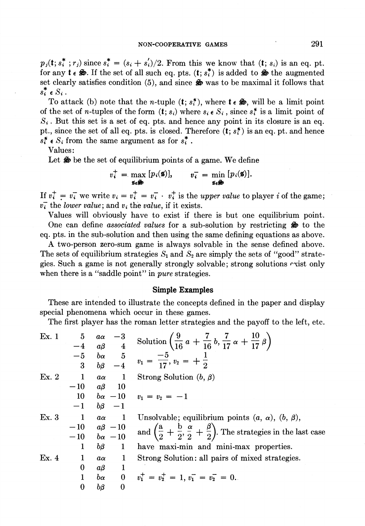$p_j(t; s_i^*; r_j)$  since  $s_i^* = (s_i + s_i')/2$ . From this we know that  $(t; s_i)$  is an eq. pt. for any  $\mathbf{t} \in \mathcal{F}$ . If the set of all such eq. pts.  $(\mathbf{t}; s_i^*)$  is added to  $\mathcal{F}$  the augmented set clearly satisfies condition  $(5)$ , and since  $\clubsuit$  was to be maximal it follows that  $s_i^* \in S_i$ .

To attack (b) note that the *n*-tuple  $(t; s<sub>i</sub><sup>*</sup>)$ , where  $t \in \mathcal{F}$ , will be a limit point of the set of *n*-tuples of the form  $(t; s_i)$  where  $s_i \in S_i$ , since  $s_i^*$  is a limit point of  $S_i$ . But this set is a set of eq. pts. and hence any point in its closure is an eq. pt., since the set of all eq. pts. is closed. Therefore  $(t; s<sub>i</sub><sup>*</sup>)$  is an eq. pt. and hence  $s_i^* \in S_i$  from the same argument as for  $s_i^*$ .

Values:

Let  $\clubsuit$  be the set of equilibrium points of a game. We define

$$
v_i^+ = \max_{\mathbf{s} \in \mathbf{\mathcal{F}}} [p_i(\mathbf{s})], \qquad v_i^- = \min_{\mathbf{s} \in \mathbf{\mathcal{F}}} [p_i(\mathbf{s})].
$$

If  $v_i^+ = v_i^-$  we write  $v_i = v_i^+ = v_i^- \cdot v_i^+$  is the upper value to player i of the game;  $v_i$  the lower value; and  $v_i$ , the value, if it exists.

Values will obviously have to exist if there is but one equilibrium point. One can define associated values for a sub-solution by restricting  $\hat{\mathcal{F}}$  to the eq. pts. in the sub-solution and then using the same defining equations as above.

A two-person zero-sum game is always solvable in the sense defined above. The sets of equilibrium strategies  $S_1$  and  $S_2$  are simply the sets of "good" strategies. Such a game is not generally strongly solvable; strong solutions cxist only when there is a "saddle point" in *pure* strategies.

#### Simple Examples

These are intended to illustrate the concepts defined in the paper and display special phenomena which occur in these games.

The first player has the roman letter strategies and the payoff to the left, etc.

| Ex. 1 | 5                | aα                         | Solution $\left(\frac{9}{16}a + \frac{7}{16}b, \frac{7}{17}a + \frac{10}{17}\beta\right)$                          |
|-------|------------------|----------------------------|--------------------------------------------------------------------------------------------------------------------|
|       | $-4$             | $\overline{4}$<br>$a\beta$ |                                                                                                                    |
|       | $-5$             | $b\alpha$                  | $\frac{5}{-4}$ $v_1 = \frac{-5}{17}, v_2 = +\frac{1}{2}$                                                           |
|       | 3                | $b\beta$                   |                                                                                                                    |
| Ex. 2 | $\blacksquare$   | - 1<br>$a\alpha$           | Strong Solution $(b, \beta)$                                                                                       |
|       | $-10$            | $a\beta$<br>-10            |                                                                                                                    |
|       | 10               |                            | $b\alpha - 10$ $v_1 = v_2 = -1$                                                                                    |
|       | $-1$             | $b\beta$ $-1$              |                                                                                                                    |
| Ex. 3 | $\mathbf{1}$     | $a\alpha$                  | Unsolvable; equilibrium points $(a, \alpha)$ , $(b, \beta)$ ,                                                      |
|       |                  | $-10$ $a\beta$ $-10$       | and $\left(\frac{a}{2} + \frac{b}{2}, \frac{\alpha}{2} + \frac{\beta}{2}\right)$ . The strategies in the last case |
|       |                  | $-10$ $b\alpha$ $-10$      |                                                                                                                    |
|       | 1                | $b\beta$<br>$\mathbf{1}$   | have maxi-min and mini-max properties.                                                                             |
| Ex.4  | -1               | 1<br>$a\alpha$             | Strong Solution: all pairs of mixed strategies.                                                                    |
|       | $\bf{0}$         | $a\beta$                   |                                                                                                                    |
|       |                  | $\bf{0}$<br>$b\alpha$      | $v_1^+ = v_2^+ = 1, v_1^- = v_2^- = 0.$                                                                            |
|       | $\boldsymbol{0}$ | bβ<br>0                    |                                                                                                                    |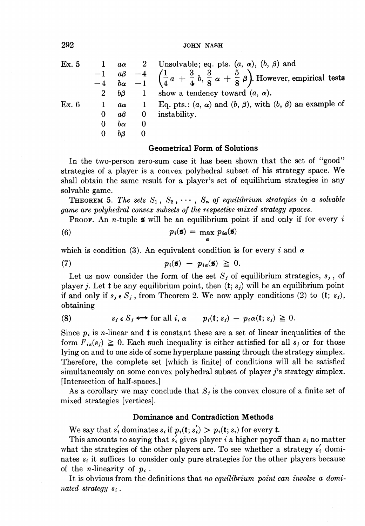| Ex. 5 | $2^{\circ}$ | $a\alpha$<br>bβ | $\mathbf{1}$ | 2 Unsolvable; eq. pts. $(a, \alpha)$ , $(b, \beta)$ and<br>$\begin{array}{ccc} -1 & a\beta & -4 \\ -4 & b\alpha & -1 \end{array}$ $\begin{pmatrix} \frac{1}{4}a + \frac{3}{4}b, \frac{3}{8}\alpha + \frac{5}{8}\beta \end{pmatrix}$ . However, empirical tests<br>show a tendency toward $(a, \alpha)$ . |
|-------|-------------|-----------------|--------------|----------------------------------------------------------------------------------------------------------------------------------------------------------------------------------------------------------------------------------------------------------------------------------------------------------|
| Ex. 6 |             | $a\alpha$       | $\mathbf{1}$ | Eq. pts.: $(a, \alpha)$ and $(b, \beta)$ , with $(b, \beta)$ an example of                                                                                                                                                                                                                               |
|       | 0           | aβ              | $\mathbf{0}$ | instability.                                                                                                                                                                                                                                                                                             |
|       | 0           | $b\alpha$       | 0            |                                                                                                                                                                                                                                                                                                          |
|       |             | bβ              | 0            |                                                                                                                                                                                                                                                                                                          |

### Geometrical Form of Solutions

In the two-person zero-sum case it has been shown that the set of ''good'' strategies of a player is a convex polyhedral subset of his strategy space. We shall obtain the same result for a player's set of equilibrium strategies in any solvable game.

**THEOREM** 5. The sets  $S_1, S_2, \cdots, S_n$  of equilibrium strategies in a solvable game are polyhedral convex subsets of the respective mixed strategy spaces.

**Proof.** An *n*-tuple **6** will be an equilibrium point if and only if for every i

(6) 
$$
p_i(\mathbf{s}) = \max_{\mathbf{a}} p_{i\mathbf{a}}(\mathbf{s})
$$

which is condition (3). An equivalent condition is for every i and  $\alpha$ 

(7) 
$$
p_i(\mathbf{s}) - p_{i\alpha}(\mathbf{s}) \geq 0.
$$

Let us now consider the form of the set  $S_j$  of equilibrium strategies,  $s_j$ , of player j. Let **t** be any equilibrium point, then  $(t; s_j)$  will be an equilibrium point if and only if  $s_j \in S_j$ , from Theorem 2. We now apply conditions (2) to (t;  $s_j$ ), obtaining

(8) 
$$
s_j \in S_j \iff \text{for all } i, \alpha \qquad p_i(t; s_j) - p_i \alpha(t; s_j) \geq 0.
$$

Since  $p_i$  is *n*-linear and **t** is constant these are a set of linear inequalities of the form  $F_{i\alpha}(s_i) \geq 0$ . Each such inequality is either satisfied for all  $s_i$  or for those lying on and to one side of some hyperplane passing through the strategy simplex. Therefore, the complete set [which is finite] of conditions will all be satisfied simultaneously on some convex polyhedral subset of player 7's strategy simplex. [Intersection of half-spaces.]|

As a corollary we may conclude that  $S_i$  is the convex closure of a finite set of mixed strategies [vertices].

## Dominance and Contradiction Methods

We say that  $s'_i$  dominates  $s_i$  if  $p_i(t; s'_i) > p_i(t; s_i)$  for every t.

This amounts to saying that  $s_i$  gives player i a higher payoff than  $s_i$  no matter what the strategies of the other players are. To see whether a strategy  $s_i$ <sup>'</sup> dominates  $s_i$  it suffices to consider only pure strategies for the other players because of the *n*-linearity of  $p_i$ .

It is obvious from the definitions that no equilibrium point can involve a dominated strategy  $s_i$ .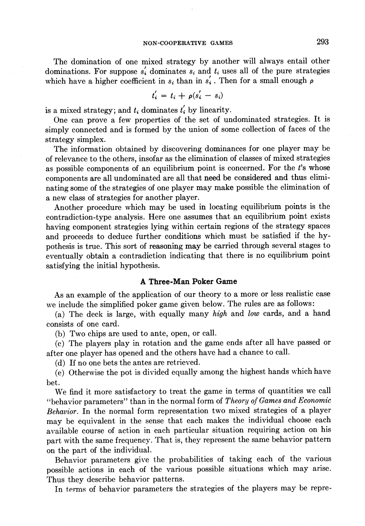The domination of one mixed strategy by another will always entail other dominations. For suppose  $s_i$  dominates  $s_i$  and  $t_i$  uses all of the pure strategies which have a higher coefficient in  $s_i$  than in  $s'_i$ . Then for a small enough  $\rho$ 

$$
t'_{i} = t_{i} + \rho(s'_{i} - s_{i})
$$

is a mixed strategy; and  $t_i$  dominates  $t'_i$  by linearity.

One can prove a few properties of the set of undominated strategies. It is simply connected and is formed by the union of some collection of faces of the strategy simplex.

The information obtained by discovering dominances for one player may be of relevance to the others, insofar as the elimination of classes of mixed strategies as possible components of an equilibrium point is concerned. For the ¢'s whose components are all undominated are all that need be considered and thus eliminating some of the strategies of one player may make possible the elimination of a new Class of strategies for another player.

Another procedure which may be used in locating equilibrium points is the contradiction-type analysis. Here one assumes that an equilibrium point exists having component strategies lying within certain regions of the strategy spaces and proceeds to deduce further conditions which must be satisfied if the hypothesis is true. This sort of reasoning may be carried through several stages to eventually obtain a contradiction indicating that there is no equilibrium point satisfying the initial hypothesis.

## A Three-Man Poker Game

As an example of the application of our theory to a more or less realistic case we include the simplified poker game given below. The rules are as follows:

(a) The deck is large, with equally many high and low cards, and a hand consists of one card.

(b) Two chips are used to ante, open, or call.

(c) The players play in rotation and the game ends after all have passed or after one player has opened and the others have had a chance to call.

(d) If no one bets the antes are retrieved.

(e) Otherwise the pot is divided equally among the highest hands which have bet.

We find it more satisfactory to treat the game in terms of quantities we call "behavior parameters" than in the normal form of Theory of Games and Economic Behavior. In the normal form representation two mixed strategies of a player may be equivalent in the sense that each makes the individual choose each available course of action in each particular situation requiring action on his part with the same frequency. That is, they represent the same behavior pattern on the part of the individual.

Behavior parameters give the probabilities of taking each of the various possible actions in each of the various possible situations which may arise. Thus they describe behavior patterns.

In terms of behavior parameters the strategies of the players may be repre-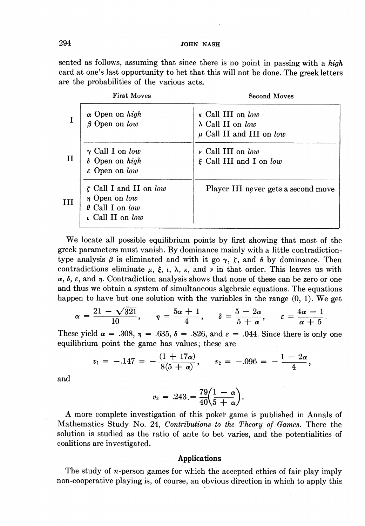sented as follows, assuming that since there is no point in passing with a *high* card at one's last opportunity to bet that this will not be done. The greek letters are the probabilities of the various acts. JOHN NA<br>
l as follows, assuming that since the<br>
t one's last opportunity to bet that t<br>
e probabilities of the various acts.<br>
First Moves

| 94           |                                                                              | JOHN NASH                                                                                                                                                           |
|--------------|------------------------------------------------------------------------------|---------------------------------------------------------------------------------------------------------------------------------------------------------------------|
|              | re the probabilities of the various acts.                                    | ented as follows, assuming that since there is no point in passing with a high<br>ard at one's last opportunity to bet that this will not be done. The greek letter |
|              | <b>First Moves</b>                                                           | <b>Second Moves</b>                                                                                                                                                 |
|              |                                                                              |                                                                                                                                                                     |
| I            | $\alpha$ Open on high<br>$\beta$ Open on low                                 | K Call III on low<br>$\lambda$ Call II on low<br>$\mu$ Call II and III on $low$                                                                                     |
| $\mathbf{H}$ | $\gamma$ Call I on low<br>$\delta$ Open on high<br>$\varepsilon$ Open on low | $\nu$ Call III on low<br>$\xi$ Call III and I on low                                                                                                                |

We locate all possible equilibrium points by first showing that most of the greek parameters must vanish. By dominance mainly with a little contradictiontype analysis  $\beta$  is eliminated and with it go  $\gamma$ ,  $\zeta$ , and  $\theta$  by dominance. Then contradictions eliminate  $\mu$ ,  $\xi$ ,  $\iota$ ,  $\lambda$ ,  $\kappa$ , and  $\nu$  in that order. This leaves us with  $\alpha$ ,  $\delta$ ,  $\varepsilon$ , and  $\eta$ . Contradiction analysis shows that none of these can be zero or one and thus we obtain a system of simultaneous algebraic equations. The equations

happen to have but one solution with the variables in the range (0, 1). We get\n
$$
\alpha = \frac{21 - \sqrt{321}}{10}, \quad \eta = \frac{5\alpha + 1}{4}, \quad \delta = \frac{5 - 2\alpha}{5 + \alpha}, \quad \varepsilon = \frac{4\alpha - 1}{\alpha + 5}.
$$

These yield  $\alpha = .308$ ,  $\eta = .635$ ,  $\delta = .826$ , and  $\varepsilon = .044$ . Since there is only one equilibrium point the game has values; these are

$$
v_1 = -.147 = -\frac{(1+17\alpha)}{8(5+\alpha)}, \quad v_2 = -.096 = -\frac{1-2\alpha}{4},
$$

and

$$
v_3 = .243 = \frac{79}{40} \left( \frac{1 - \alpha}{5 + \alpha} \right).
$$

A more complete investigation of this poker game is published in Annals of Mathematics Study No. 24, Contributions to the Theory of Games. There the solution is studied as the ratio of ante to bet varies, and the potentialities of coalitions are investigated.

### Applications

The study of n-person games for which the accepted ethics of fair play imply non-cooperative playing is, of course, an obvious direction in which to apply this